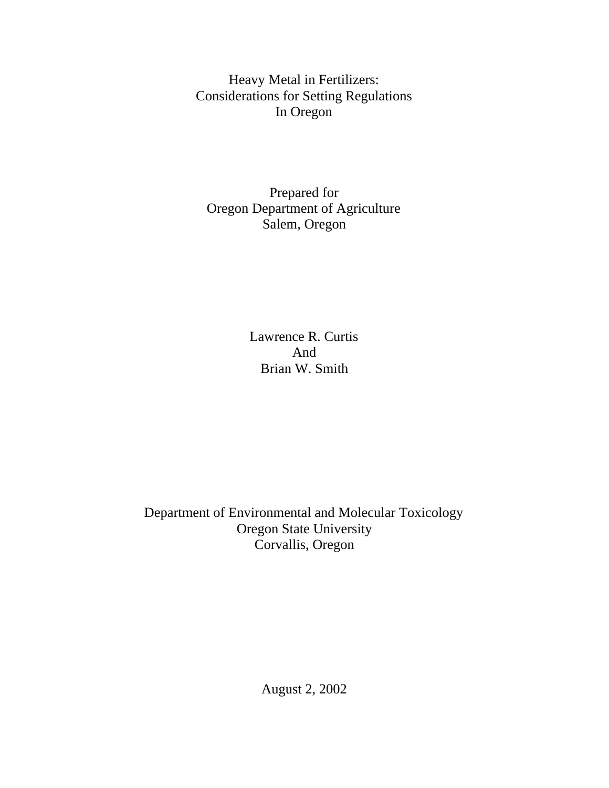Heavy Metal in Fertilizers: Considerations for Setting Regulations In Oregon

Prepared for Oregon Department of Agriculture Salem, Oregon

> Lawrence R. Curtis And Brian W. Smith

Department of Environmental and Molecular Toxicology Oregon State University Corvallis, Oregon

August 2, 2002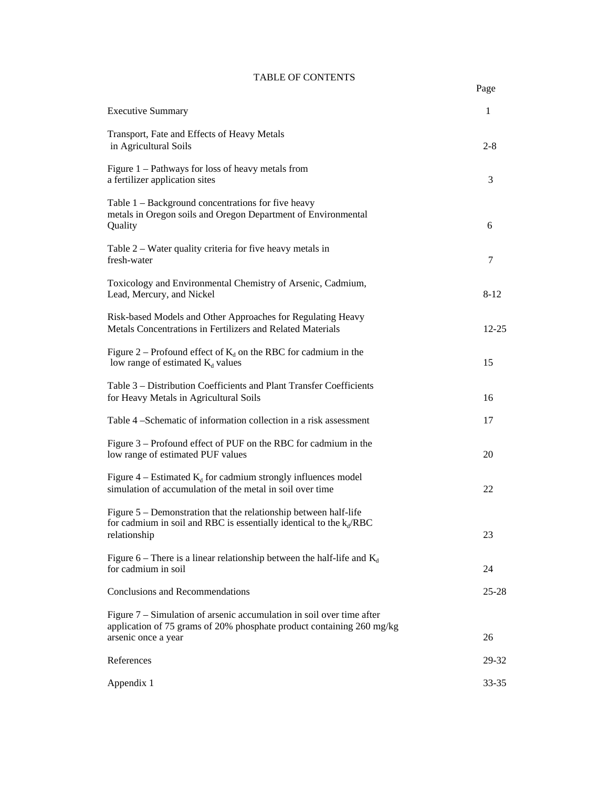## TABLE OF CONTENTS

| <b>Executive Summary</b>                                                                                                                                                | $\mathbf{1}$ |
|-------------------------------------------------------------------------------------------------------------------------------------------------------------------------|--------------|
| Transport, Fate and Effects of Heavy Metals<br>in Agricultural Soils                                                                                                    | $2 - 8$      |
| Figure 1 – Pathways for loss of heavy metals from<br>a fertilizer application sites                                                                                     | 3            |
| Table 1 - Background concentrations for five heavy<br>metals in Oregon soils and Oregon Department of Environmental<br>Quality                                          | 6            |
| Table 2 – Water quality criteria for five heavy metals in<br>fresh-water                                                                                                | 7            |
| Toxicology and Environmental Chemistry of Arsenic, Cadmium,<br>Lead, Mercury, and Nickel                                                                                | $8 - 12$     |
| Risk-based Models and Other Approaches for Regulating Heavy<br>Metals Concentrations in Fertilizers and Related Materials                                               | $12 - 25$    |
| Figure 2 – Profound effect of $K_d$ on the RBC for cadmium in the<br>low range of estimated $K_d$ values                                                                | 15           |
| Table 3 - Distribution Coefficients and Plant Transfer Coefficients<br>for Heavy Metals in Agricultural Soils                                                           | 16           |
| Table 4 – Schematic of information collection in a risk assessment                                                                                                      | 17           |
| Figure 3 – Profound effect of PUF on the RBC for cadmium in the<br>low range of estimated PUF values                                                                    | 20           |
| Figure $4$ – Estimated $K_d$ for cadmium strongly influences model<br>simulation of accumulation of the metal in soil over time                                         | 22           |
| Figure 5 – Demonstration that the relationship between half-life<br>for cadmium in soil and RBC is essentially identical to the $k_d$ /RBC<br>relationship              | 23           |
| Figure 6 – There is a linear relationship between the half-life and $K_d$<br>for cadmium in soil                                                                        | 24           |
| Conclusions and Recommendations                                                                                                                                         | $25 - 28$    |
| Figure $7 -$ Simulation of arsenic accumulation in soil over time after<br>application of 75 grams of 20% phosphate product containing 260 mg/kg<br>arsenic once a year | 26           |
| References                                                                                                                                                              | 29-32        |
| Appendix 1                                                                                                                                                              | 33-35        |
|                                                                                                                                                                         |              |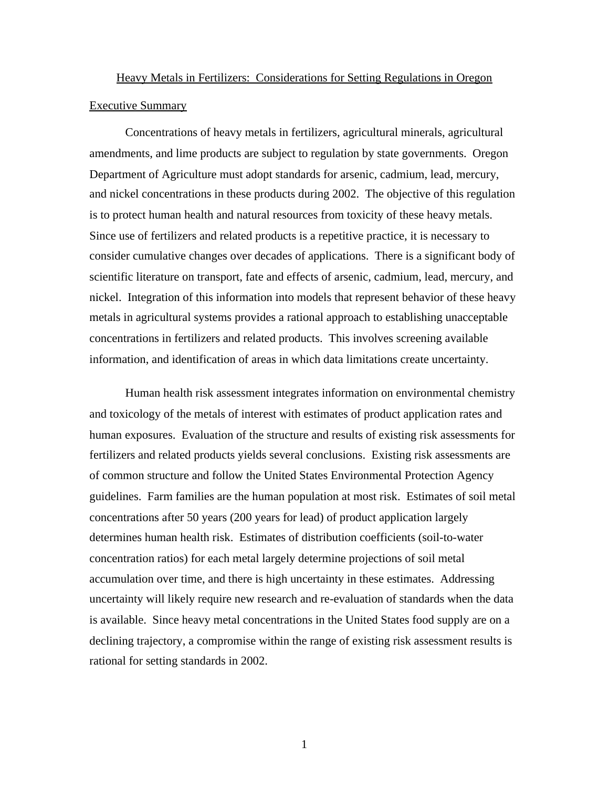# Heavy Metals in Fertilizers: Considerations for Setting Regulations in Oregon Executive Summary

Concentrations of heavy metals in fertilizers, agricultural minerals, agricultural amendments, and lime products are subject to regulation by state governments. Oregon Department of Agriculture must adopt standards for arsenic, cadmium, lead, mercury, and nickel concentrations in these products during 2002. The objective of this regulation is to protect human health and natural resources from toxicity of these heavy metals. Since use of fertilizers and related products is a repetitive practice, it is necessary to consider cumulative changes over decades of applications. There is a significant body of scientific literature on transport, fate and effects of arsenic, cadmium, lead, mercury, and nickel. Integration of this information into models that represent behavior of these heavy metals in agricultural systems provides a rational approach to establishing unacceptable concentrations in fertilizers and related products. This involves screening available information, and identification of areas in which data limitations create uncertainty.

Human health risk assessment integrates information on environmental chemistry and toxicology of the metals of interest with estimates of product application rates and human exposures. Evaluation of the structure and results of existing risk assessments for fertilizers and related products yields several conclusions. Existing risk assessments are of common structure and follow the United States Environmental Protection Agency guidelines. Farm families are the human population at most risk. Estimates of soil metal concentrations after 50 years (200 years for lead) of product application largely determines human health risk. Estimates of distribution coefficients (soil-to-water concentration ratios) for each metal largely determine projections of soil metal accumulation over time, and there is high uncertainty in these estimates. Addressing uncertainty will likely require new research and re-evaluation of standards when the data is available. Since heavy metal concentrations in the United States food supply are on a declining trajectory, a compromise within the range of existing risk assessment results is rational for setting standards in 2002.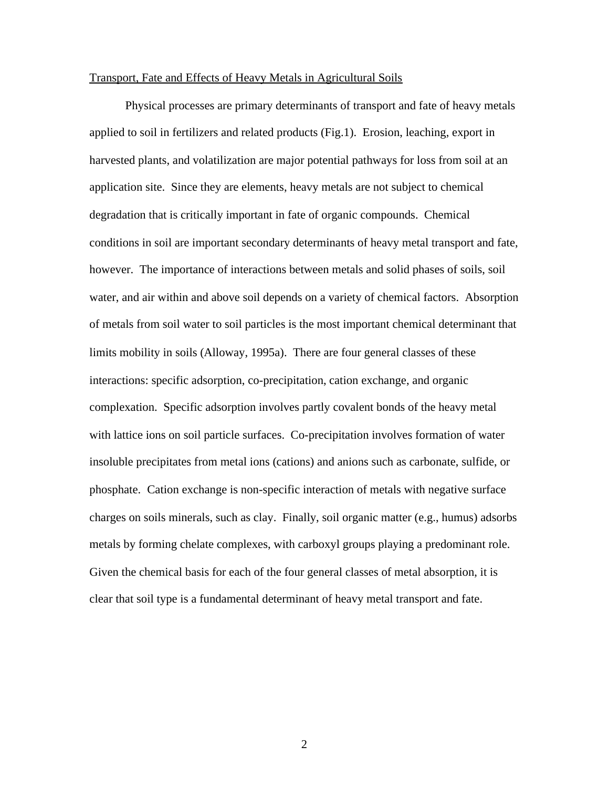#### Transport, Fate and Effects of Heavy Metals in Agricultural Soils

Physical processes are primary determinants of transport and fate of heavy metals applied to soil in fertilizers and related products (Fig.1). Erosion, leaching, export in harvested plants, and volatilization are major potential pathways for loss from soil at an application site. Since they are elements, heavy metals are not subject to chemical degradation that is critically important in fate of organic compounds. Chemical conditions in soil are important secondary determinants of heavy metal transport and fate, however. The importance of interactions between metals and solid phases of soils, soil water, and air within and above soil depends on a variety of chemical factors. Absorption of metals from soil water to soil particles is the most important chemical determinant that limits mobility in soils (Alloway, 1995a). There are four general classes of these interactions: specific adsorption, co-precipitation, cation exchange, and organic complexation. Specific adsorption involves partly covalent bonds of the heavy metal with lattice ions on soil particle surfaces. Co-precipitation involves formation of water insoluble precipitates from metal ions (cations) and anions such as carbonate, sulfide, or phosphate. Cation exchange is non-specific interaction of metals with negative surface charges on soils minerals, such as clay. Finally, soil organic matter (e.g., humus) adsorbs metals by forming chelate complexes, with carboxyl groups playing a predominant role. Given the chemical basis for each of the four general classes of metal absorption, it is clear that soil type is a fundamental determinant of heavy metal transport and fate.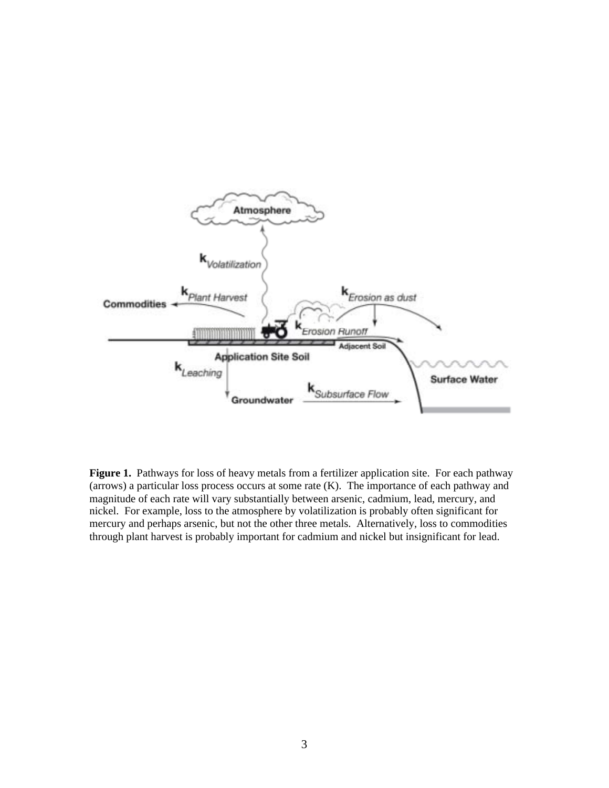

**Figure 1.** Pathways for loss of heavy metals from a fertilizer application site. For each pathway (arrows) a particular loss process occurs at some rate  $(K)$ . The importance of each pathway and magnitude of each rate will vary substantially between arsenic, cadmium, lead, mercury, and nickel. For example, loss to the atmosphere by volatilization is probably often significant for mercury and perhaps arsenic, but not the other three metals. Alternatively, loss to commodities through plant harvest is probably important for cadmium and nickel but insignificant for lead.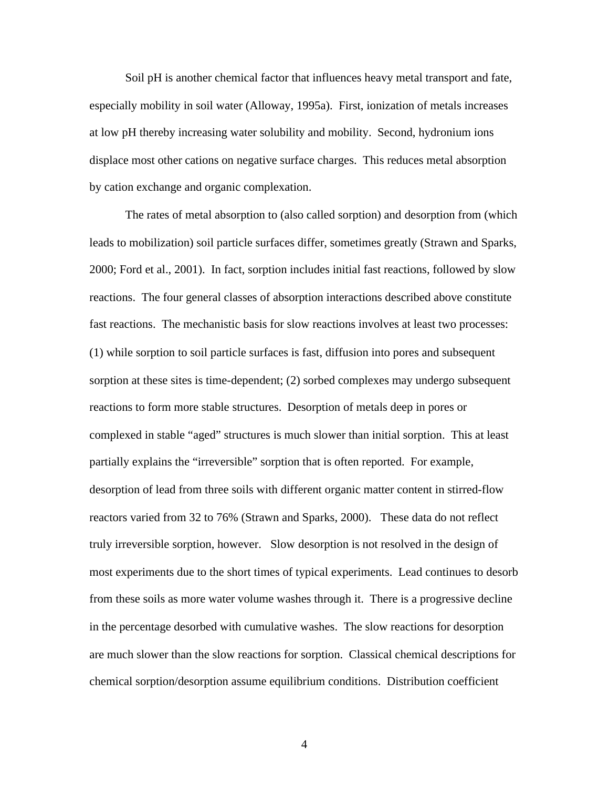Soil pH is another chemical factor that influences heavy metal transport and fate, especially mobility in soil water (Alloway, 1995a). First, ionization of metals increases at low pH thereby increasing water solubility and mobility. Second, hydronium ions displace most other cations on negative surface charges. This reduces metal absorption by cation exchange and organic complexation.

The rates of metal absorption to (also called sorption) and desorption from (which leads to mobilization) soil particle surfaces differ, sometimes greatly (Strawn and Sparks, 2000; Ford et al., 2001). In fact, sorption includes initial fast reactions, followed by slow reactions. The four general classes of absorption interactions described above constitute fast reactions. The mechanistic basis for slow reactions involves at least two processes: (1) while sorption to soil particle surfaces is fast, diffusion into pores and subsequent sorption at these sites is time-dependent; (2) sorbed complexes may undergo subsequent reactions to form more stable structures. Desorption of metals deep in pores or complexed in stable "aged" structures is much slower than initial sorption. This at least partially explains the "irreversible" sorption that is often reported. For example, desorption of lead from three soils with different organic matter content in stirred-flow reactors varied from 32 to 76% (Strawn and Sparks, 2000). These data do not reflect truly irreversible sorption, however. Slow desorption is not resolved in the design of most experiments due to the short times of typical experiments. Lead continues to desorb from these soils as more water volume washes through it. There is a progressive decline in the percentage desorbed with cumulative washes. The slow reactions for desorption are much slower than the slow reactions for sorption. Classical chemical descriptions for chemical sorption/desorption assume equilibrium conditions. Distribution coefficient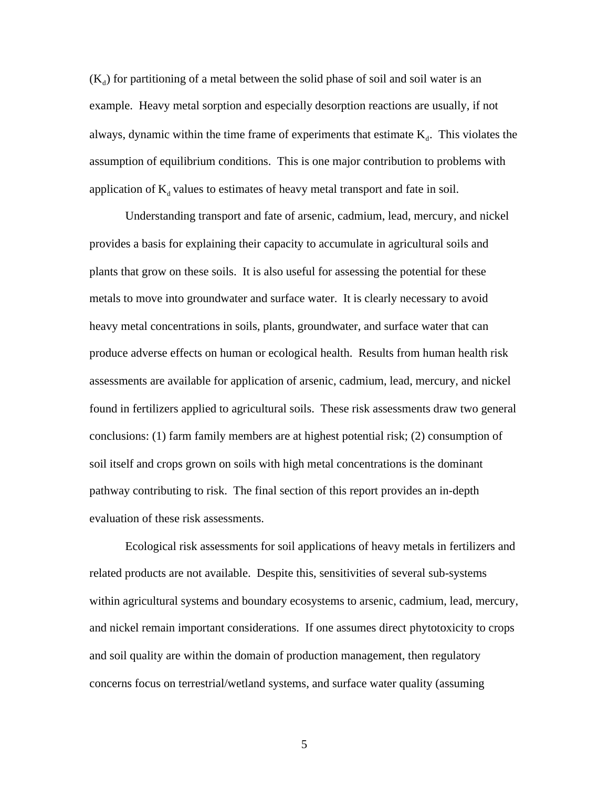$(K<sub>a</sub>)$  for partitioning of a metal between the solid phase of soil and soil water is an example. Heavy metal sorption and especially desorption reactions are usually, if not always, dynamic within the time frame of experiments that estimate  $K_d$ . This violates the assumption of equilibrium conditions. This is one major contribution to problems with application of  $K_d$  values to estimates of heavy metal transport and fate in soil.

Understanding transport and fate of arsenic, cadmium, lead, mercury, and nickel provides a basis for explaining their capacity to accumulate in agricultural soils and plants that grow on these soils. It is also useful for assessing the potential for these metals to move into groundwater and surface water. It is clearly necessary to avoid heavy metal concentrations in soils, plants, groundwater, and surface water that can produce adverse effects on human or ecological health. Results from human health risk assessments are available for application of arsenic, cadmium, lead, mercury, and nickel found in fertilizers applied to agricultural soils. These risk assessments draw two general conclusions: (1) farm family members are at highest potential risk; (2) consumption of soil itself and crops grown on soils with high metal concentrations is the dominant pathway contributing to risk. The final section of this report provides an in-depth evaluation of these risk assessments.

Ecological risk assessments for soil applications of heavy metals in fertilizers and related products are not available. Despite this, sensitivities of several sub-systems within agricultural systems and boundary ecosystems to arsenic, cadmium, lead, mercury, and nickel remain important considerations. If one assumes direct phytotoxicity to crops and soil quality are within the domain of production management, then regulatory concerns focus on terrestrial/wetland systems, and surface water quality (assuming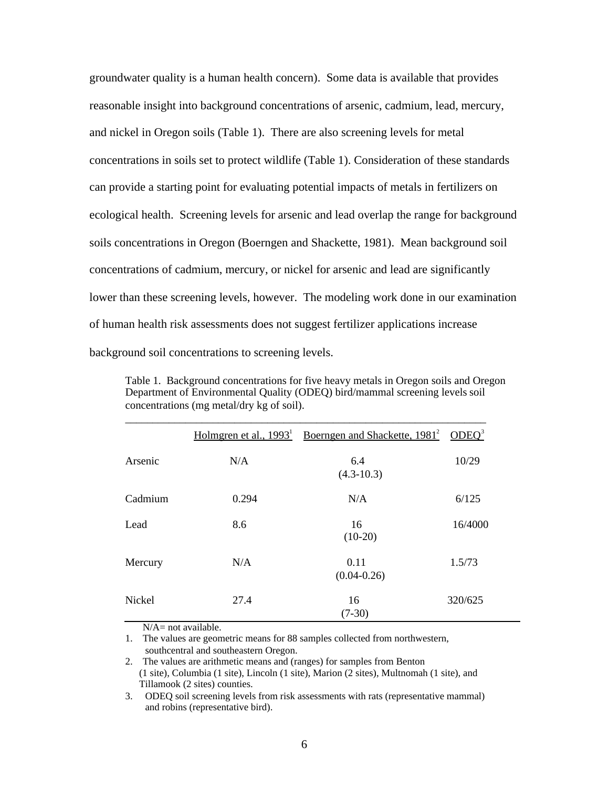groundwater quality is a human health concern). Some data is available that provides reasonable insight into background concentrations of arsenic, cadmium, lead, mercury, and nickel in Oregon soils (Table 1). There are also screening levels for metal concentrations in soils set to protect wildlife (Table 1). Consideration of these standards can provide a starting point for evaluating potential impacts of metals in fertilizers on ecological health. Screening levels for arsenic and lead overlap the range for background soils concentrations in Oregon (Boerngen and Shackette, 1981). Mean background soil concentrations of cadmium, mercury, or nickel for arsenic and lead are significantly lower than these screening levels, however. The modeling work done in our examination of human health risk assessments does not suggest fertilizer applications increase background soil concentrations to screening levels.

|         |       | Holmgren et al., $1993^1$ Boerngen and Shackette, $1981^2$ ODEQ <sup>3</sup> |         |
|---------|-------|------------------------------------------------------------------------------|---------|
| Arsenic | N/A   | 6.4<br>$(4.3-10.3)$                                                          | 10/29   |
| Cadmium | 0.294 | N/A                                                                          | 6/125   |
| Lead    | 8.6   | 16<br>$(10-20)$                                                              | 16/4000 |
| Mercury | N/A   | 0.11<br>$(0.04 - 0.26)$                                                      | 1.5/73  |
| Nickel  | 27.4  | 16<br>$(7-30)$                                                               | 320/625 |

Table 1. Background concentrations for five heavy metals in Oregon soils and Oregon Department of Environmental Quality (ODEQ) bird/mammal screening levels soil concentrations (mg metal/dry kg of soil).

 $N/A$ = not available.

<sup>1.</sup> The values are geometric means for 88 samples collected from northwestern, southcentral and southeastern Oregon.

<sup>2.</sup> The values are arithmetic means and (ranges) for samples from Benton (1 site), Columbia (1 site), Lincoln (1 site), Marion (2 sites), Multnomah (1 site), and Tillamook (2 sites) counties.

<sup>3.</sup> ODEQ soil screening levels from risk assessments with rats (representative mammal) and robins (representative bird).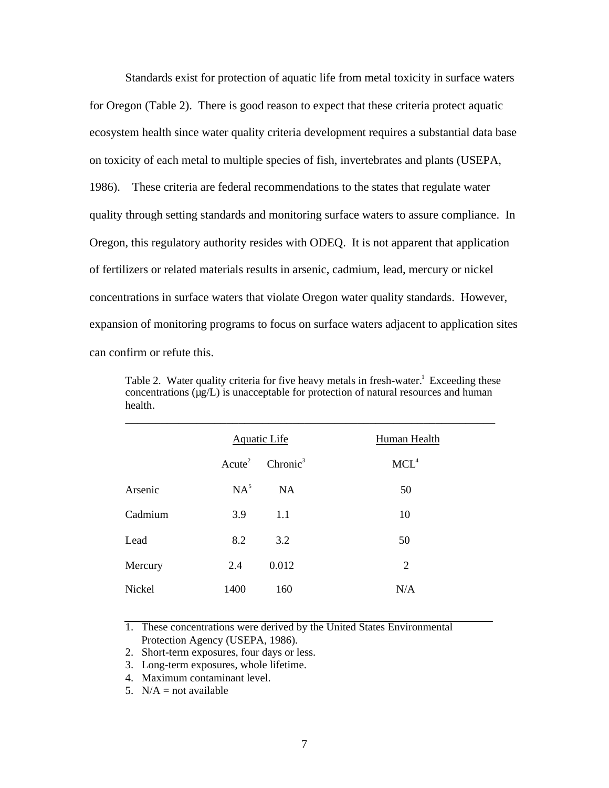Standards exist for protection of aquatic life from metal toxicity in surface waters for Oregon (Table 2). There is good reason to expect that these criteria protect aquatic ecosystem health since water quality criteria development requires a substantial data base on toxicity of each metal to multiple species of fish, invertebrates and plants (USEPA, 1986). These criteria are federal recommendations to the states that regulate water quality through setting standards and monitoring surface waters to assure compliance. In Oregon, this regulatory authority resides with ODEQ. It is not apparent that application of fertilizers or related materials results in arsenic, cadmium, lead, mercury or nickel concentrations in surface waters that violate Oregon water quality standards. However, expansion of monitoring programs to focus on surface waters adjacent to application sites can confirm or refute this.

Table 2. Water quality criteria for five heavy metals in fresh-water.<sup>1</sup> Exceeding these concentrations  $(\mu g/L)$  is unacceptable for protection of natural resources and human health.

| <b>Aquatic Life</b> |                      | <b>Human Health</b> |  |
|---------------------|----------------------|---------------------|--|
| Acute <sup>2</sup>  | Chronic <sup>3</sup> | MCL <sup>4</sup>    |  |
| $NA^5$              | <b>NA</b>            | 50                  |  |
| 3.9                 | 1.1                  | 10                  |  |
| 8.2                 | 3.2                  | 50                  |  |
| 2.4                 | 0.012                | 2                   |  |
| 1400                | 160                  | N/A                 |  |
|                     |                      |                     |  |

1. These concentrations were derived by the United States Environmental Protection Agency (USEPA, 1986).

- 2. Short-term exposures, four days or less.
- 3. Long-term exposures, whole lifetime.
- 4. Maximum contaminant level.
- 5.  $N/A = not available$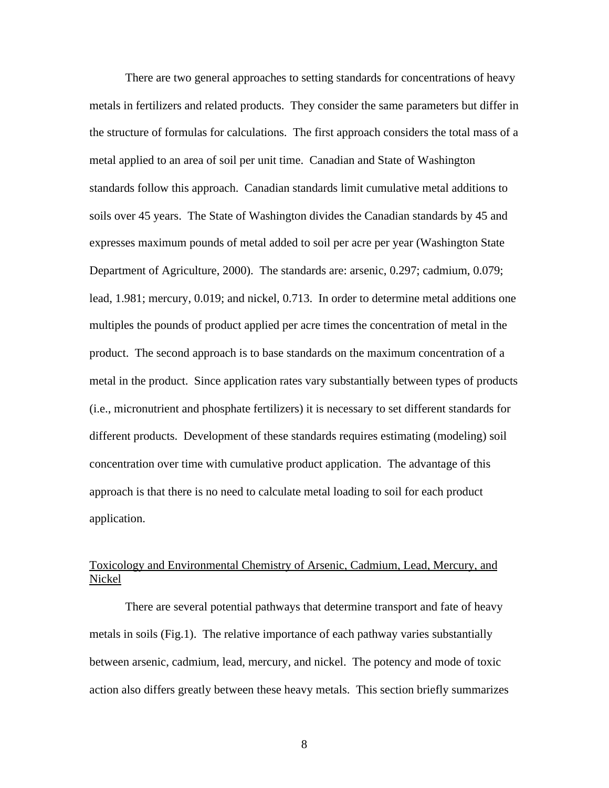There are two general approaches to setting standards for concentrations of heavy metals in fertilizers and related products. They consider the same parameters but differ in the structure of formulas for calculations. The first approach considers the total mass of a metal applied to an area of soil per unit time. Canadian and State of Washington standards follow this approach. Canadian standards limit cumulative metal additions to soils over 45 years. The State of Washington divides the Canadian standards by 45 and expresses maximum pounds of metal added to soil per acre per year (Washington State Department of Agriculture, 2000). The standards are: arsenic, 0.297; cadmium, 0.079; lead, 1.981; mercury, 0.019; and nickel, 0.713. In order to determine metal additions one multiples the pounds of product applied per acre times the concentration of metal in the product. The second approach is to base standards on the maximum concentration of a metal in the product. Since application rates vary substantially between types of products (i.e., micronutrient and phosphate fertilizers) it is necessary to set different standards for different products. Development of these standards requires estimating (modeling) soil concentration over time with cumulative product application. The advantage of this approach is that there is no need to calculate metal loading to soil for each product application.

## Toxicology and Environmental Chemistry of Arsenic, Cadmium, Lead, Mercury, and Nickel

There are several potential pathways that determine transport and fate of heavy metals in soils (Fig.1). The relative importance of each pathway varies substantially between arsenic, cadmium, lead, mercury, and nickel. The potency and mode of toxic action also differs greatly between these heavy metals. This section briefly summarizes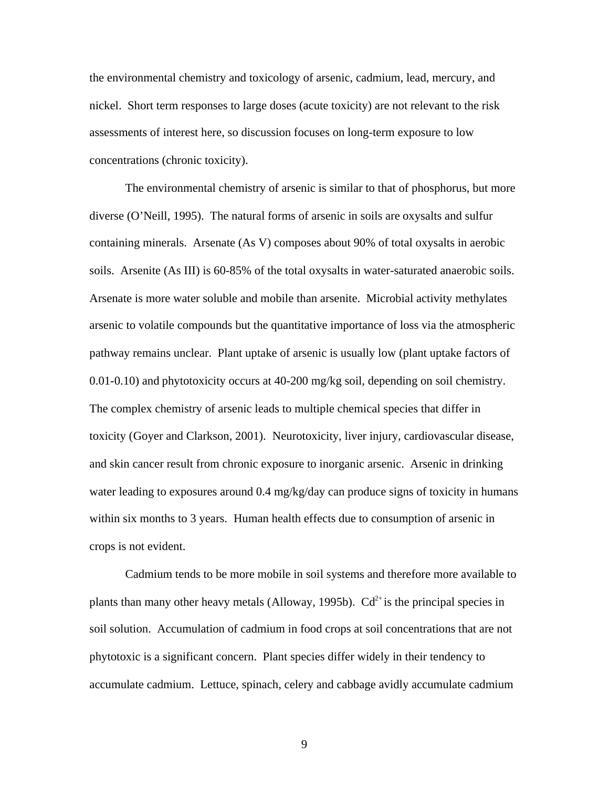the environmental chemistry and toxicology of arsenic, cadmium, lead, mercury, and nickel. Short term responses to large doses (acute toxicity) are not relevant to the risk assessments of interest here, so discussion focuses on long-term exposure to low concentrations (chronic toxicity).

The environmental chemistry of arsenic is similar to that of phosphorus, but more diverse (O'Neill, 1995). The natural forms of arsenic in soils are oxysalts and sulfur containing minerals. Arsenate (As V) composes about 90% of total oxysalts in aerobic soils. Arsenite (As III) is 60-85% of the total oxysalts in water-saturated anaerobic soils. Arsenate is more water soluble and mobile than arsenite. Microbial activity methylates arsenic to volatile compounds but the quantitative importance of loss via the atmospheric pathway remains unclear. Plant uptake of arsenic is usually low (plant uptake factors of 0.01-0.10) and phytotoxicity occurs at 40-200 mg/kg soil, depending on soil chemistry. The complex chemistry of arsenic leads to multiple chemical species that differ in toxicity (Goyer and Clarkson, 2001). Neurotoxicity, liver injury, cardiovascular disease, and skin cancer result from chronic exposure to inorganic arsenic. Arsenic in drinking water leading to exposures around 0.4 mg/kg/day can produce signs of toxicity in humans within six months to 3 years. Human health effects due to consumption of arsenic in crops is not evident.

Cadmium tends to be more mobile in soil systems and therefore more available to plants than many other heavy metals (Alloway, 1995b).  $Cd^{2+}$  is the principal species in soil solution. Accumulation of cadmium in food crops at soil concentrations that are not phytotoxic is a significant concern. Plant species differ widely in their tendency to accumulate cadmium. Lettuce, spinach, celery and cabbage avidly accumulate cadmium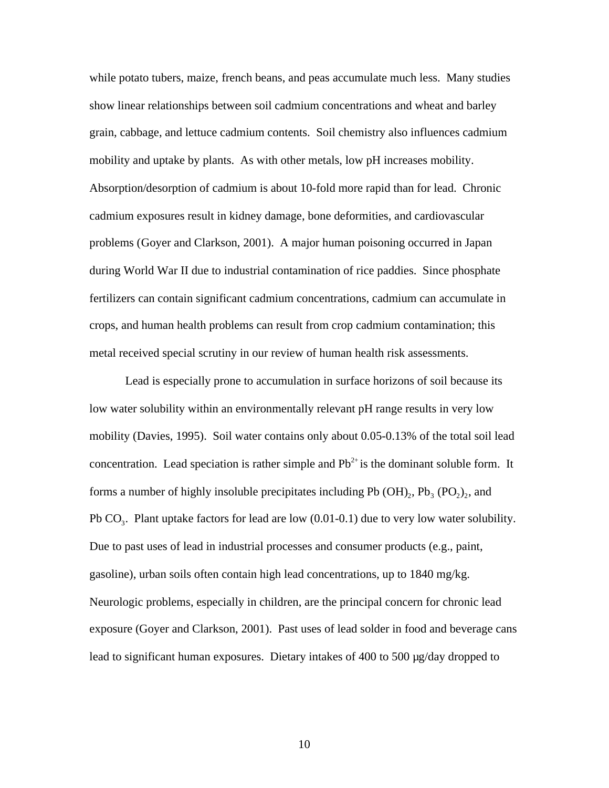while potato tubers, maize, french beans, and peas accumulate much less. Many studies show linear relationships between soil cadmium concentrations and wheat and barley grain, cabbage, and lettuce cadmium contents. Soil chemistry also influences cadmium mobility and uptake by plants. As with other metals, low pH increases mobility. Absorption/desorption of cadmium is about 10-fold more rapid than for lead. Chronic cadmium exposures result in kidney damage, bone deformities, and cardiovascular problems (Goyer and Clarkson, 2001). A major human poisoning occurred in Japan during World War II due to industrial contamination of rice paddies. Since phosphate fertilizers can contain significant cadmium concentrations, cadmium can accumulate in crops, and human health problems can result from crop cadmium contamination; this metal received special scrutiny in our review of human health risk assessments.

Lead is especially prone to accumulation in surface horizons of soil because its low water solubility within an environmentally relevant pH range results in very low mobility (Davies, 1995). Soil water contains only about 0.05-0.13% of the total soil lead concentration. Lead speciation is rather simple and  $Pb^{2+}$  is the dominant soluble form. It forms a number of highly insoluble precipitates including Pb  $(OH)_{2}$ , Pb<sub>3</sub> (PO<sub>2</sub>)<sub>2</sub>, and Pb  $CO<sub>3</sub>$ . Plant uptake factors for lead are low (0.01-0.1) due to very low water solubility. Due to past uses of lead in industrial processes and consumer products (e.g., paint, gasoline), urban soils often contain high lead concentrations, up to 1840 mg/kg. Neurologic problems, especially in children, are the principal concern for chronic lead exposure (Goyer and Clarkson, 2001). Past uses of lead solder in food and beverage cans lead to significant human exposures. Dietary intakes of 400 to 500 µg/day dropped to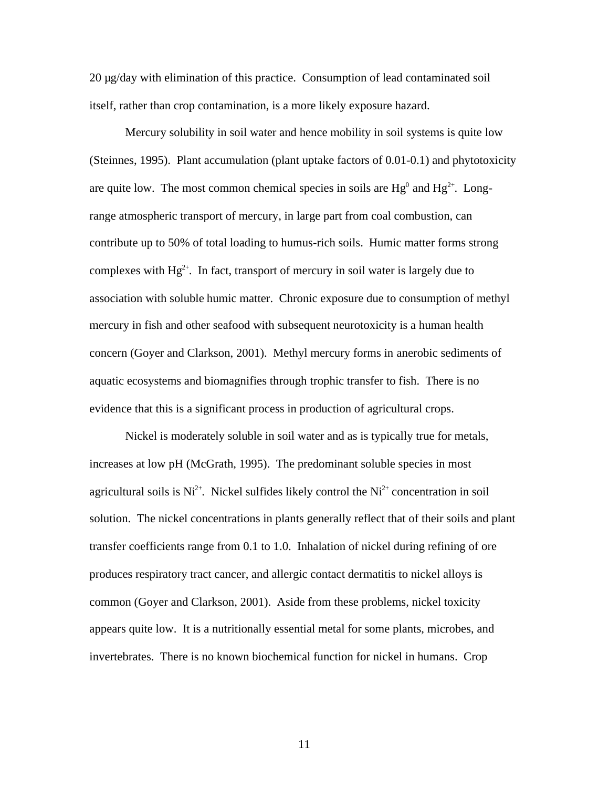20 µg/day with elimination of this practice. Consumption of lead contaminated soil itself, rather than crop contamination, is a more likely exposure hazard.

Mercury solubility in soil water and hence mobility in soil systems is quite low (Steinnes, 1995). Plant accumulation (plant uptake factors of 0.01-0.1) and phytotoxicity are quite low. The most common chemical species in soils are  $Hg^0$  and  $Hg^{2+}$ . Longrange atmospheric transport of mercury, in large part from coal combustion, can contribute up to 50% of total loading to humus-rich soils. Humic matter forms strong complexes with  $Hg^{2+}$ . In fact, transport of mercury in soil water is largely due to association with soluble humic matter. Chronic exposure due to consumption of methyl mercury in fish and other seafood with subsequent neurotoxicity is a human health concern (Goyer and Clarkson, 2001). Methyl mercury forms in anerobic sediments of aquatic ecosystems and biomagnifies through trophic transfer to fish. There is no evidence that this is a significant process in production of agricultural crops.

Nickel is moderately soluble in soil water and as is typically true for metals, increases at low pH (McGrath, 1995). The predominant soluble species in most agricultural soils is  $Ni^{2+}$ . Nickel sulfides likely control the  $Ni^{2+}$  concentration in soil solution. The nickel concentrations in plants generally reflect that of their soils and plant transfer coefficients range from 0.1 to 1.0. Inhalation of nickel during refining of ore produces respiratory tract cancer, and allergic contact dermatitis to nickel alloys is common (Goyer and Clarkson, 2001). Aside from these problems, nickel toxicity appears quite low. It is a nutritionally essential metal for some plants, microbes, and invertebrates. There is no known biochemical function for nickel in humans. Crop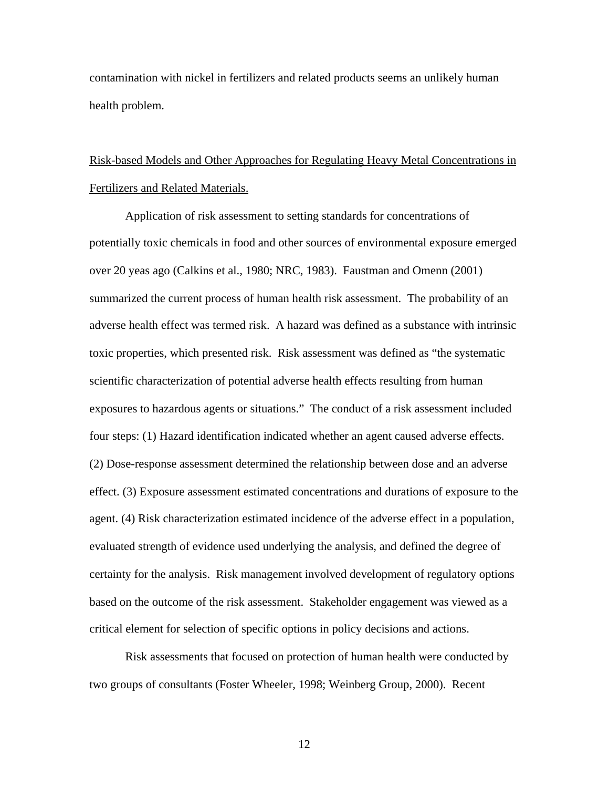contamination with nickel in fertilizers and related products seems an unlikely human health problem.

## Risk-based Models and Other Approaches for Regulating Heavy Metal Concentrations in Fertilizers and Related Materials.

Application of risk assessment to setting standards for concentrations of potentially toxic chemicals in food and other sources of environmental exposure emerged over 20 yeas ago (Calkins et al., 1980; NRC, 1983). Faustman and Omenn (2001) summarized the current process of human health risk assessment. The probability of an adverse health effect was termed risk. A hazard was defined as a substance with intrinsic toxic properties, which presented risk. Risk assessment was defined as "the systematic scientific characterization of potential adverse health effects resulting from human exposures to hazardous agents or situations." The conduct of a risk assessment included four steps: (1) Hazard identification indicated whether an agent caused adverse effects. (2) Dose-response assessment determined the relationship between dose and an adverse effect. (3) Exposure assessment estimated concentrations and durations of exposure to the agent. (4) Risk characterization estimated incidence of the adverse effect in a population, evaluated strength of evidence used underlying the analysis, and defined the degree of certainty for the analysis. Risk management involved development of regulatory options based on the outcome of the risk assessment. Stakeholder engagement was viewed as a critical element for selection of specific options in policy decisions and actions.

Risk assessments that focused on protection of human health were conducted by two groups of consultants (Foster Wheeler, 1998; Weinberg Group, 2000). Recent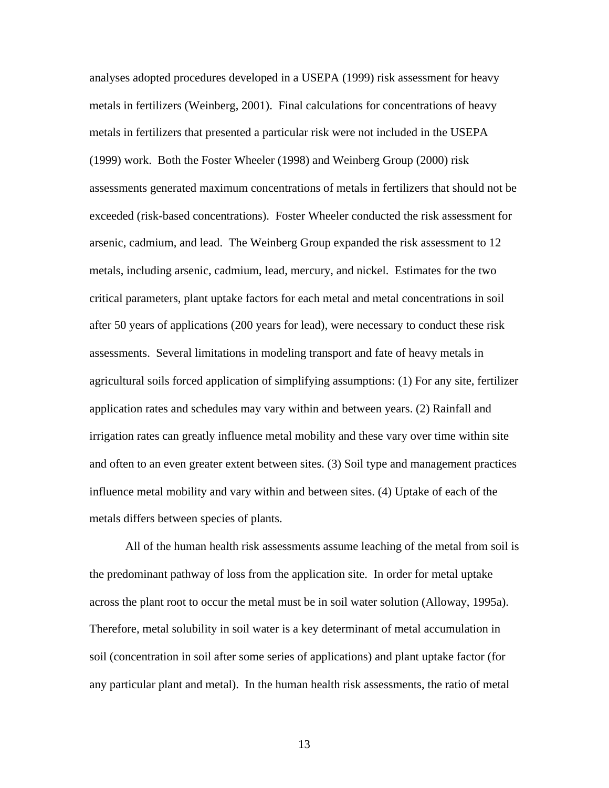analyses adopted procedures developed in a USEPA (1999) risk assessment for heavy metals in fertilizers (Weinberg, 2001). Final calculations for concentrations of heavy metals in fertilizers that presented a particular risk were not included in the USEPA (1999) work. Both the Foster Wheeler (1998) and Weinberg Group (2000) risk assessments generated maximum concentrations of metals in fertilizers that should not be exceeded (risk-based concentrations). Foster Wheeler conducted the risk assessment for arsenic, cadmium, and lead. The Weinberg Group expanded the risk assessment to 12 metals, including arsenic, cadmium, lead, mercury, and nickel. Estimates for the two critical parameters, plant uptake factors for each metal and metal concentrations in soil after 50 years of applications (200 years for lead), were necessary to conduct these risk assessments. Several limitations in modeling transport and fate of heavy metals in agricultural soils forced application of simplifying assumptions: (1) For any site, fertilizer application rates and schedules may vary within and between years. (2) Rainfall and irrigation rates can greatly influence metal mobility and these vary over time within site and often to an even greater extent between sites. (3) Soil type and management practices influence metal mobility and vary within and between sites. (4) Uptake of each of the metals differs between species of plants.

All of the human health risk assessments assume leaching of the metal from soil is the predominant pathway of loss from the application site. In order for metal uptake across the plant root to occur the metal must be in soil water solution (Alloway, 1995a). Therefore, metal solubility in soil water is a key determinant of metal accumulation in soil (concentration in soil after some series of applications) and plant uptake factor (for any particular plant and metal). In the human health risk assessments, the ratio of metal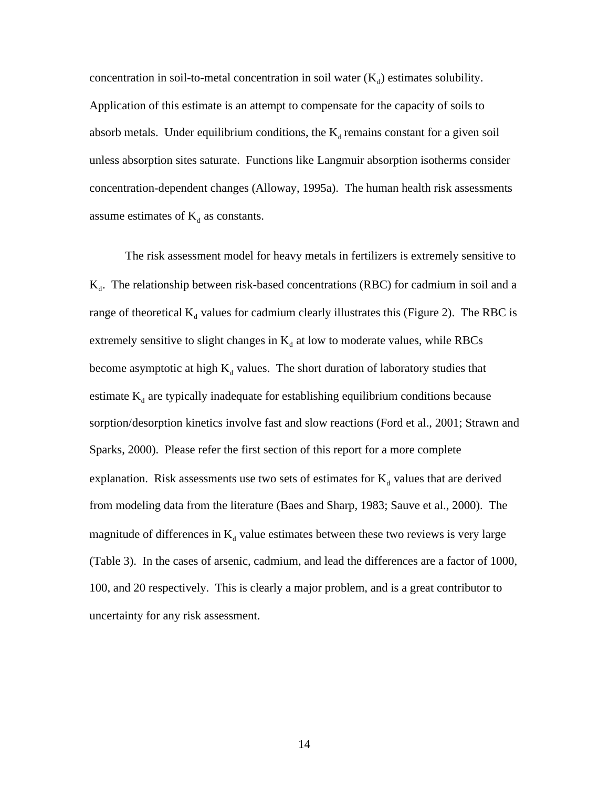concentration in soil-to-metal concentration in soil water  $(K_d)$  estimates solubility. Application of this estimate is an attempt to compensate for the capacity of soils to absorb metals. Under equilibrium conditions, the  $K_d$  remains constant for a given soil unless absorption sites saturate. Functions like Langmuir absorption isotherms consider concentration-dependent changes (Alloway, 1995a). The human health risk assessments assume estimates of  $K_d$  as constants.

The risk assessment model for heavy metals in fertilizers is extremely sensitive to  $K_d$ . The relationship between risk-based concentrations (RBC) for cadmium in soil and a range of theoretical  $K_d$  values for cadmium clearly illustrates this (Figure 2). The RBC is extremely sensitive to slight changes in  $K_d$  at low to moderate values, while RBCs become asymptotic at high  $K_d$  values. The short duration of laboratory studies that estimate  $K_d$  are typically inadequate for establishing equilibrium conditions because sorption/desorption kinetics involve fast and slow reactions (Ford et al., 2001; Strawn and Sparks, 2000). Please refer the first section of this report for a more complete explanation. Risk assessments use two sets of estimates for  $K_d$  values that are derived from modeling data from the literature (Baes and Sharp, 1983; Sauve et al., 2000). The magnitude of differences in  $K_d$  value estimates between these two reviews is very large (Table 3). In the cases of arsenic, cadmium, and lead the differences are a factor of 1000, 100, and 20 respectively. This is clearly a major problem, and is a great contributor to uncertainty for any risk assessment.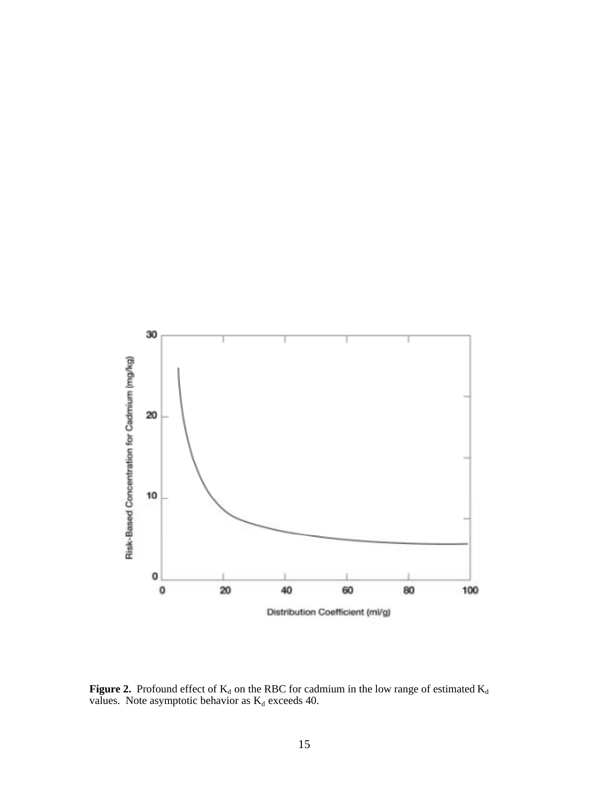

**Figure 2.** Profound effect of  $K_d$  on the RBC for cadmium in the low range of estimated  $K_d$ values. Note asymptotic behavior as  $K_d$  exceeds 40.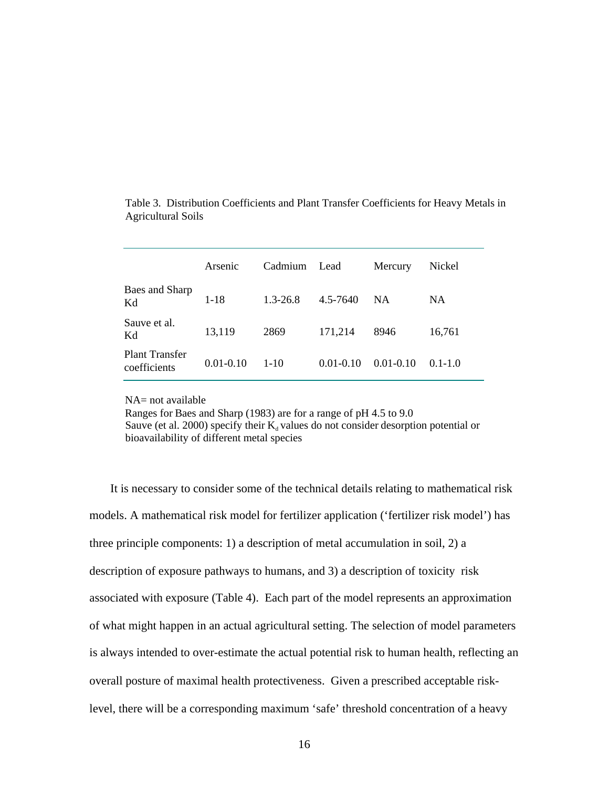|                                       | Arsenic       | Cadmium      | Lead          | Mercury       | Nickel      |
|---------------------------------------|---------------|--------------|---------------|---------------|-------------|
| Baes and Sharp<br>Kd                  | $1 - 18$      | $1.3 - 26.8$ | 4.5-7640      | <b>NA</b>     | <b>NA</b>   |
| Sauve et al.<br>Kd                    | 13,119        | 2869         | 171,214       | 8946          | 16,761      |
| <b>Plant Transfer</b><br>coefficients | $0.01 - 0.10$ | $1 - 10$     | $0.01 - 0.10$ | $0.01 - 0.10$ | $0.1 - 1.0$ |

Table 3. Distribution Coefficients and Plant Transfer Coefficients for Heavy Metals in Agricultural Soils

NA= not available

 Ranges for Baes and Sharp (1983) are for a range of pH 4.5 to 9.0 Sauve (et al. 2000) specify their  $K_d$  values do not consider desorption potential or bioavailability of different metal species

 It is necessary to consider some of the technical details relating to mathematical risk models. A mathematical risk model for fertilizer application ('fertilizer risk model') has three principle components: 1) a description of metal accumulation in soil, 2) a description of exposure pathways to humans, and 3) a description of toxicity risk associated with exposure (Table 4). Each part of the model represents an approximation of what might happen in an actual agricultural setting. The selection of model parameters is always intended to over-estimate the actual potential risk to human health, reflecting an overall posture of maximal health protectiveness. Given a prescribed acceptable risklevel, there will be a corresponding maximum 'safe' threshold concentration of a heavy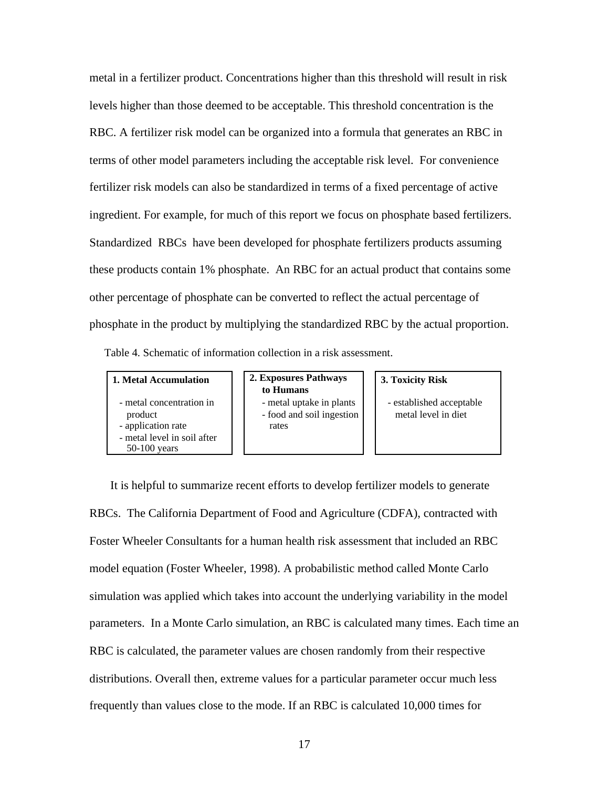metal in a fertilizer product. Concentrations higher than this threshold will result in risk levels higher than those deemed to be acceptable. This threshold concentration is the RBC. A fertilizer risk model can be organized into a formula that generates an RBC in terms of other model parameters including the acceptable risk level. For convenience fertilizer risk models can also be standardized in terms of a fixed percentage of active ingredient. For example, for much of this report we focus on phosphate based fertilizers. Standardized RBCs have been developed for phosphate fertilizers products assuming these products contain 1% phosphate. An RBC for an actual product that contains some other percentage of phosphate can be converted to reflect the actual percentage of phosphate in the product by multiplying the standardized RBC by the actual proportion. Table 4. Schematic of information collection in a risk assessment.

- metal concentration in product
- application rate
- metal level in soil after 50-100 years

**1. Metal Accumulation 2. Exposures Pathways to Humans**

 - metal uptake in plants - food and soil ingestion rates

**3. Toxicity Risk**

- established acceptable metal level in diet

 It is helpful to summarize recent efforts to develop fertilizer models to generate RBCs. The California Department of Food and Agriculture (CDFA), contracted with Foster Wheeler Consultants for a human health risk assessment that included an RBC model equation (Foster Wheeler, 1998). A probabilistic method called Monte Carlo simulation was applied which takes into account the underlying variability in the model parameters. In a Monte Carlo simulation, an RBC is calculated many times. Each time an RBC is calculated, the parameter values are chosen randomly from their respective distributions. Overall then, extreme values for a particular parameter occur much less frequently than values close to the mode. If an RBC is calculated 10,000 times for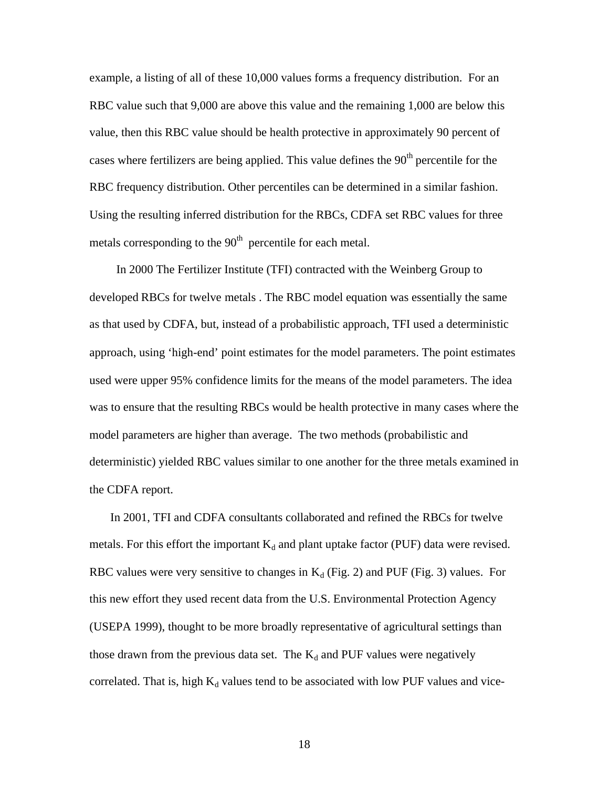example, a listing of all of these 10,000 values forms a frequency distribution. For an RBC value such that 9,000 are above this value and the remaining 1,000 are below this value, then this RBC value should be health protective in approximately 90 percent of cases where fertilizers are being applied. This value defines the  $90<sup>th</sup>$  percentile for the RBC frequency distribution. Other percentiles can be determined in a similar fashion. Using the resulting inferred distribution for the RBCs, CDFA set RBC values for three metals corresponding to the  $90<sup>th</sup>$  percentile for each metal.

 In 2000 The Fertilizer Institute (TFI) contracted with the Weinberg Group to developed RBCs for twelve metals . The RBC model equation was essentially the same as that used by CDFA, but, instead of a probabilistic approach, TFI used a deterministic approach, using 'high-end' point estimates for the model parameters. The point estimates used were upper 95% confidence limits for the means of the model parameters. The idea was to ensure that the resulting RBCs would be health protective in many cases where the model parameters are higher than average. The two methods (probabilistic and deterministic) yielded RBC values similar to one another for the three metals examined in the CDFA report.

 In 2001, TFI and CDFA consultants collaborated and refined the RBCs for twelve metals. For this effort the important  $K_d$  and plant uptake factor (PUF) data were revised. RBC values were very sensitive to changes in  $K_d$  (Fig. 2) and PUF (Fig. 3) values. For this new effort they used recent data from the U.S. Environmental Protection Agency (USEPA 1999), thought to be more broadly representative of agricultural settings than those drawn from the previous data set. The  $K_d$  and PUF values were negatively correlated. That is, high  $K_d$  values tend to be associated with low PUF values and vice-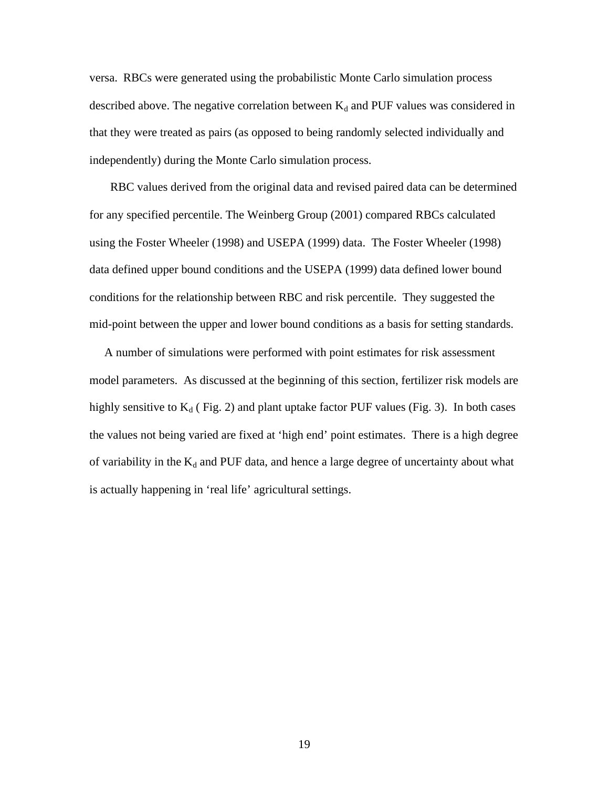versa. RBCs were generated using the probabilistic Monte Carlo simulation process described above. The negative correlation between  $K_d$  and PUF values was considered in that they were treated as pairs (as opposed to being randomly selected individually and independently) during the Monte Carlo simulation process.

 RBC values derived from the original data and revised paired data can be determined for any specified percentile. The Weinberg Group (2001) compared RBCs calculated using the Foster Wheeler (1998) and USEPA (1999) data. The Foster Wheeler (1998) data defined upper bound conditions and the USEPA (1999) data defined lower bound conditions for the relationship between RBC and risk percentile. They suggested the mid-point between the upper and lower bound conditions as a basis for setting standards.

 A number of simulations were performed with point estimates for risk assessment model parameters. As discussed at the beginning of this section, fertilizer risk models are highly sensitive to  $K_d$  (Fig. 2) and plant uptake factor PUF values (Fig. 3). In both cases the values not being varied are fixed at 'high end' point estimates. There is a high degree of variability in the  $K_d$  and PUF data, and hence a large degree of uncertainty about what is actually happening in 'real life' agricultural settings.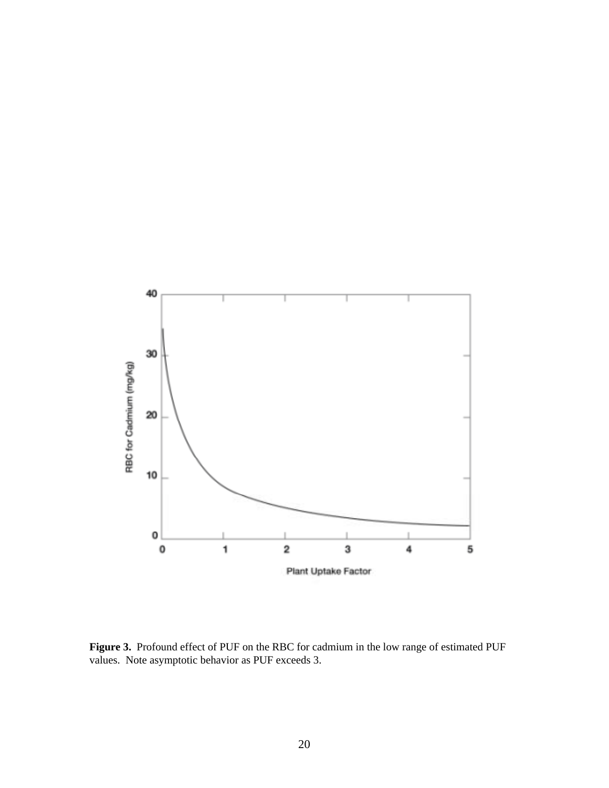

**Figure 3.** Profound effect of PUF on the RBC for cadmium in the low range of estimated PUF values. Note asymptotic behavior as PUF exceeds 3.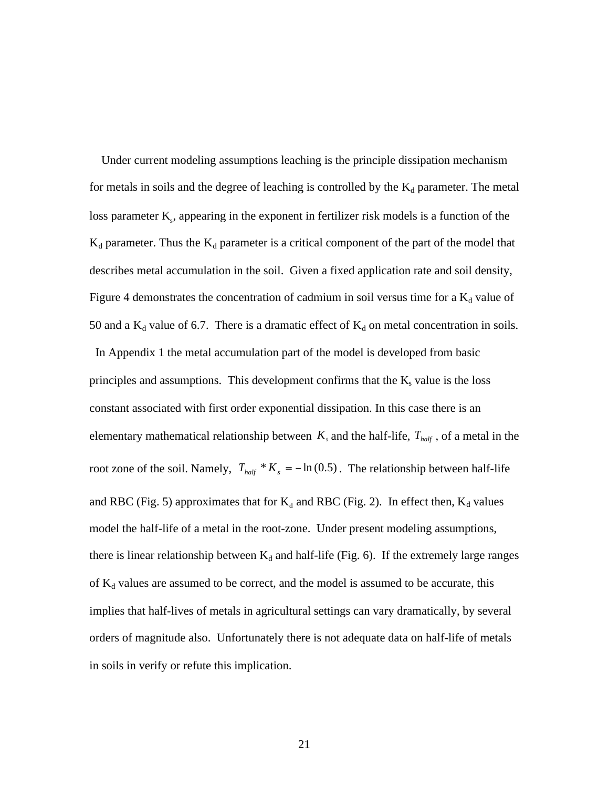Under current modeling assumptions leaching is the principle dissipation mechanism for metals in soils and the degree of leaching is controlled by the  $K_d$  parameter. The metal loss parameter  $K_s$ , appearing in the exponent in fertilizer risk models is a function of the  $K_d$  parameter. Thus the  $K_d$  parameter is a critical component of the part of the model that describes metal accumulation in the soil. Given a fixed application rate and soil density, Figure 4 demonstrates the concentration of cadmium in soil versus time for a  $K_d$  value of 50 and a  $K_d$  value of 6.7. There is a dramatic effect of  $K_d$  on metal concentration in soils.

 In Appendix 1 the metal accumulation part of the model is developed from basic principles and assumptions. This development confirms that the  $K_s$  value is the loss constant associated with first order exponential dissipation. In this case there is an elementary mathematical relationship between  $K_s$  and the half-life,  $T_{half}$ , of a metal in the root zone of the soil. Namely,  $T_{half} * K_s = -\ln(0.5)$ . The relationship between half-life and RBC (Fig. 5) approximates that for  $K_d$  and RBC (Fig. 2). In effect then,  $K_d$  values model the half-life of a metal in the root-zone. Under present modeling assumptions, there is linear relationship between  $K_d$  and half-life (Fig. 6). If the extremely large ranges of  $K_d$  values are assumed to be correct, and the model is assumed to be accurate, this implies that half-lives of metals in agricultural settings can vary dramatically, by several orders of magnitude also. Unfortunately there is not adequate data on half-life of metals in soils in verify or refute this implication.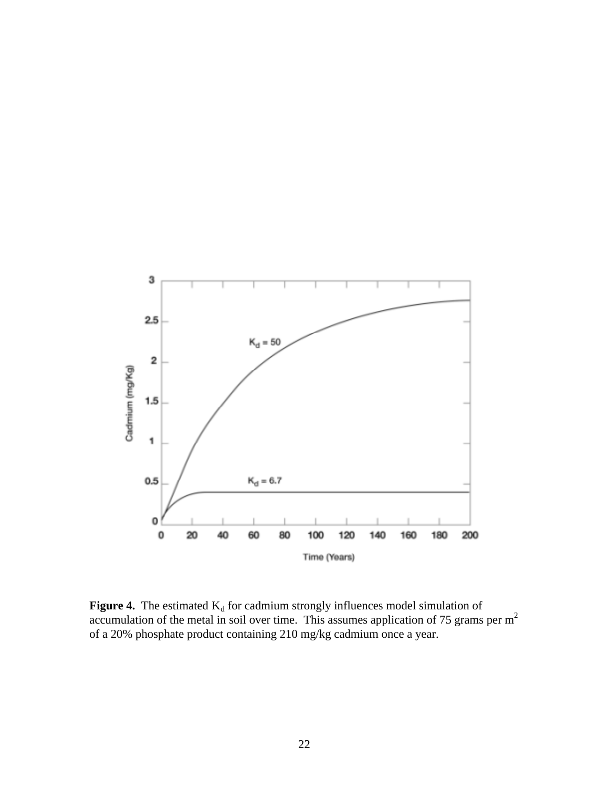

**Figure 4.** The estimated  $K_d$  for cadmium strongly influences model simulation of accumulation of the metal in soil over time. This assumes application of 75 grams per  $m<sup>2</sup>$ of a 20% phosphate product containing 210 mg/kg cadmium once a year.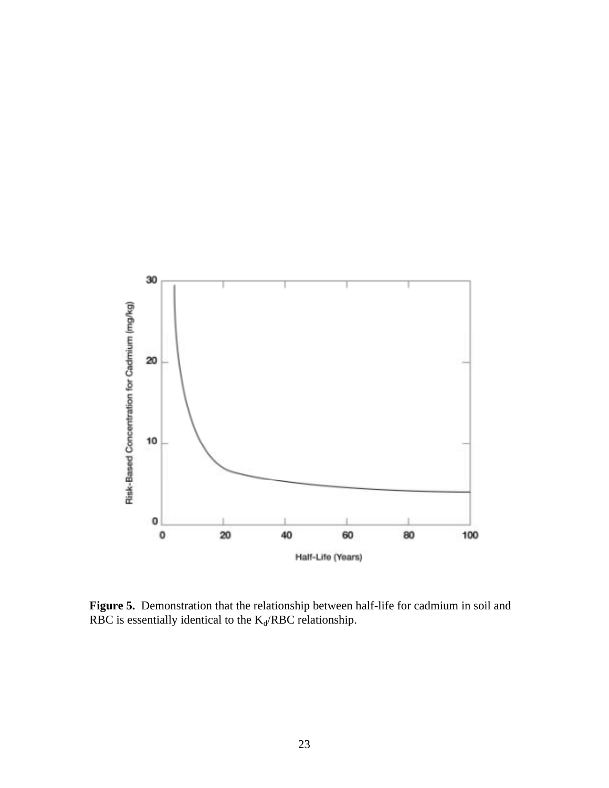

**Figure 5.** Demonstration that the relationship between half-life for cadmium in soil and RBC is essentially identical to the  $K_d/RBC$  relationship.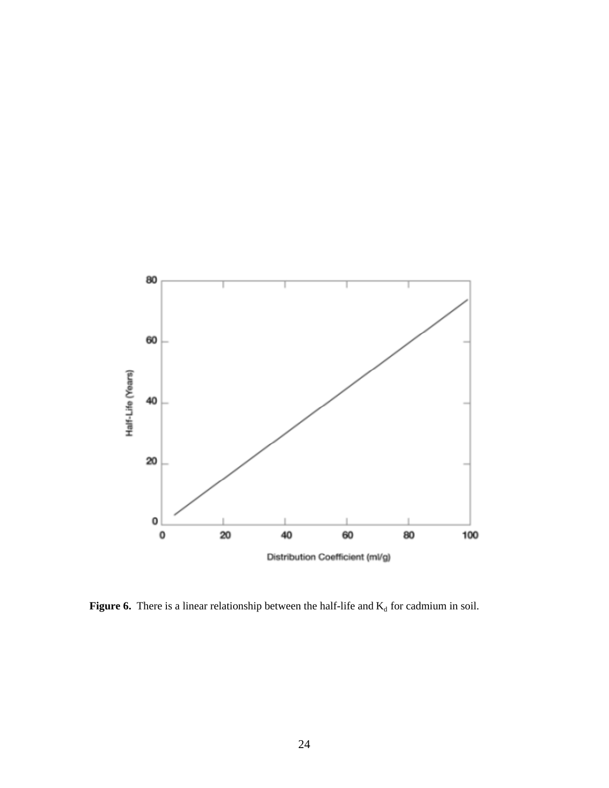

**Figure 6.** There is a linear relationship between the half-life and  $K_d$  for cadmium in soil.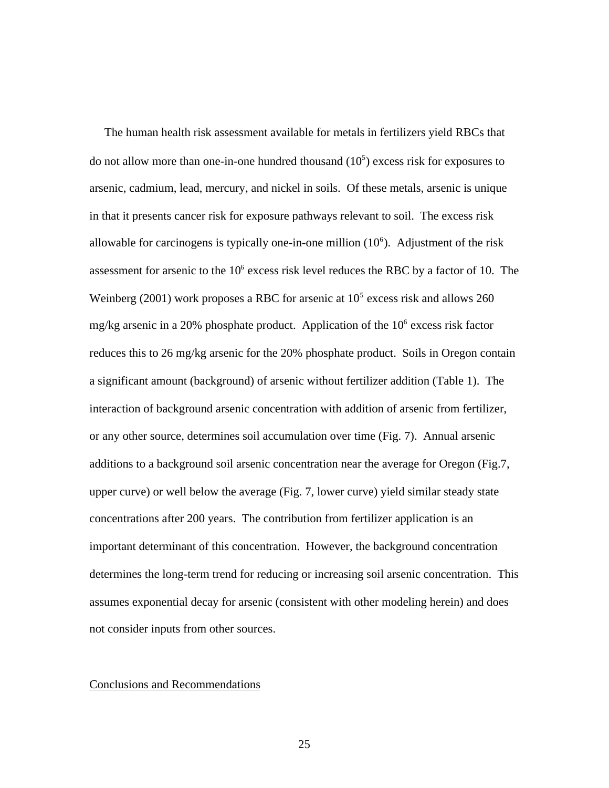The human health risk assessment available for metals in fertilizers yield RBCs that do not allow more than one-in-one hundred thousand  $(10<sup>5</sup>)$  excess risk for exposures to arsenic, cadmium, lead, mercury, and nickel in soils. Of these metals, arsenic is unique in that it presents cancer risk for exposure pathways relevant to soil. The excess risk allowable for carcinogens is typically one-in-one million  $(10<sup>6</sup>)$ . Adjustment of the risk assessment for arsenic to the  $10^6$  excess risk level reduces the RBC by a factor of 10. The Weinberg (2001) work proposes a RBC for arsenic at  $10<sup>5</sup>$  excess risk and allows 260 mg/kg arsenic in a 20% phosphate product. Application of the  $10<sup>6</sup>$  excess risk factor reduces this to 26 mg/kg arsenic for the 20% phosphate product. Soils in Oregon contain a significant amount (background) of arsenic without fertilizer addition (Table 1). The interaction of background arsenic concentration with addition of arsenic from fertilizer, or any other source, determines soil accumulation over time (Fig. 7). Annual arsenic additions to a background soil arsenic concentration near the average for Oregon (Fig.7, upper curve) or well below the average (Fig. 7, lower curve) yield similar steady state concentrations after 200 years. The contribution from fertilizer application is an important determinant of this concentration. However, the background concentration determines the long-term trend for reducing or increasing soil arsenic concentration. This assumes exponential decay for arsenic (consistent with other modeling herein) and does not consider inputs from other sources.

### Conclusions and Recommendations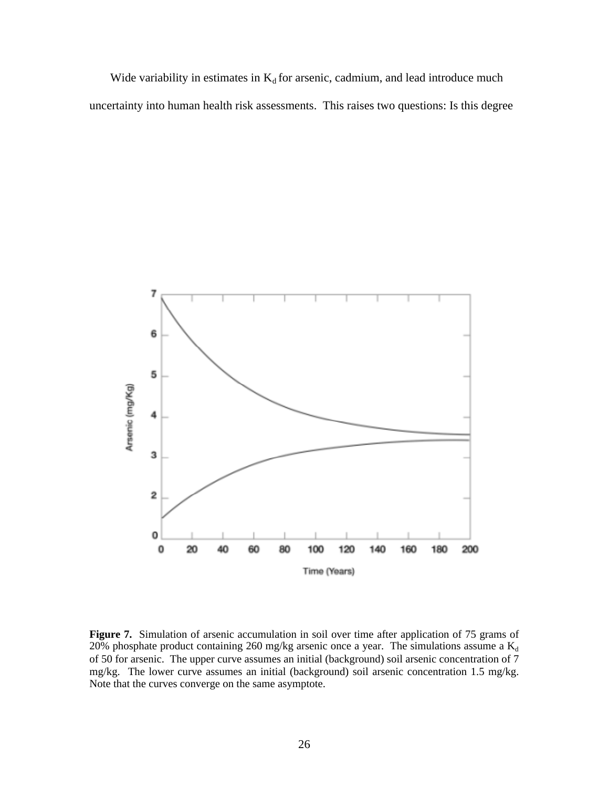Wide variability in estimates in  $K_d$  for arsenic, cadmium, and lead introduce much uncertainty into human health risk assessments. This raises two questions: Is this degree



**Figure 7.** Simulation of arsenic accumulation in soil over time after application of 75 grams of 20% phosphate product containing 260 mg/kg arsenic once a year. The simulations assume a  $K_d$ of 50 for arsenic. The upper curve assumes an initial (background) soil arsenic concentration of 7 mg/kg. The lower curve assumes an initial (background) soil arsenic concentration 1.5 mg/kg. Note that the curves converge on the same asymptote.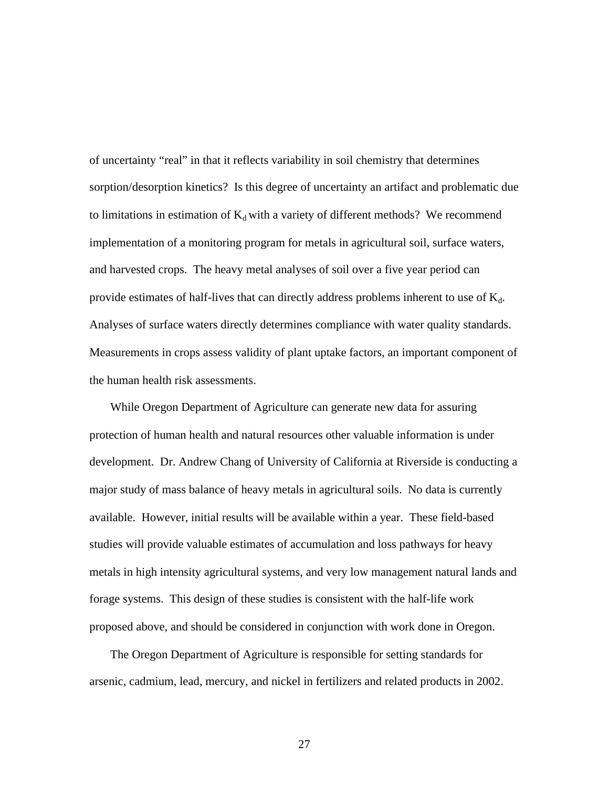of uncertainty "real" in that it reflects variability in soil chemistry that determines sorption/desorption kinetics? Is this degree of uncertainty an artifact and problematic due to limitations in estimation of  $K_d$  with a variety of different methods? We recommend implementation of a monitoring program for metals in agricultural soil, surface waters, and harvested crops. The heavy metal analyses of soil over a five year period can provide estimates of half-lives that can directly address problems inherent to use of  $K_d$ . Analyses of surface waters directly determines compliance with water quality standards. Measurements in crops assess validity of plant uptake factors, an important component of the human health risk assessments.

 While Oregon Department of Agriculture can generate new data for assuring protection of human health and natural resources other valuable information is under development. Dr. Andrew Chang of University of California at Riverside is conducting a major study of mass balance of heavy metals in agricultural soils. No data is currently available. However, initial results will be available within a year. These field-based studies will provide valuable estimates of accumulation and loss pathways for heavy metals in high intensity agricultural systems, and very low management natural lands and forage systems. This design of these studies is consistent with the half-life work proposed above, and should be considered in conjunction with work done in Oregon.

 The Oregon Department of Agriculture is responsible for setting standards for arsenic, cadmium, lead, mercury, and nickel in fertilizers and related products in 2002.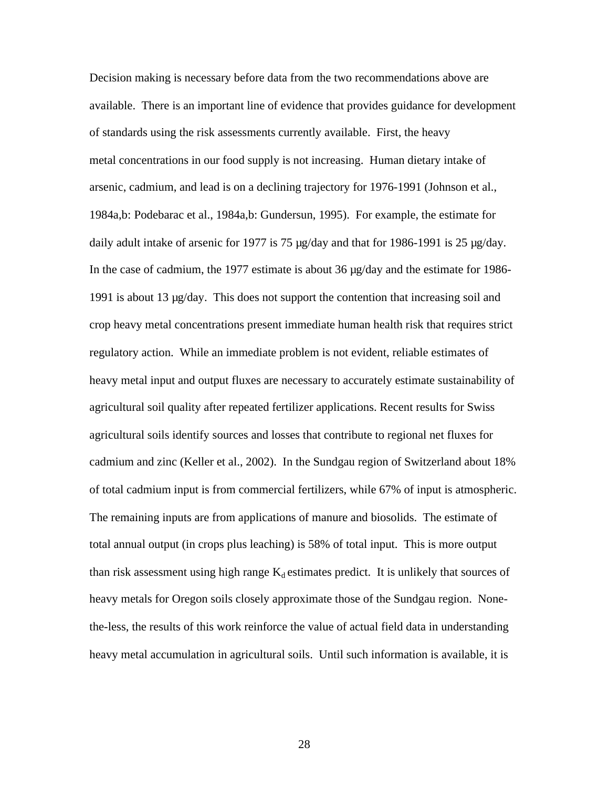Decision making is necessary before data from the two recommendations above are available. There is an important line of evidence that provides guidance for development of standards using the risk assessments currently available. First, the heavy metal concentrations in our food supply is not increasing. Human dietary intake of arsenic, cadmium, and lead is on a declining trajectory for 1976-1991 (Johnson et al., 1984a,b: Podebarac et al., 1984a,b: Gundersun, 1995). For example, the estimate for daily adult intake of arsenic for 1977 is 75  $\mu$ g/day and that for 1986-1991 is 25  $\mu$ g/day. In the case of cadmium, the 1977 estimate is about 36 µg/day and the estimate for 1986- 1991 is about 13  $\mu$ g/day. This does not support the contention that increasing soil and crop heavy metal concentrations present immediate human health risk that requires strict regulatory action. While an immediate problem is not evident, reliable estimates of heavy metal input and output fluxes are necessary to accurately estimate sustainability of agricultural soil quality after repeated fertilizer applications. Recent results for Swiss agricultural soils identify sources and losses that contribute to regional net fluxes for cadmium and zinc (Keller et al., 2002). In the Sundgau region of Switzerland about 18% of total cadmium input is from commercial fertilizers, while 67% of input is atmospheric. The remaining inputs are from applications of manure and biosolids. The estimate of total annual output (in crops plus leaching) is 58% of total input. This is more output than risk assessment using high range  $K_d$  estimates predict. It is unlikely that sources of heavy metals for Oregon soils closely approximate those of the Sundgau region. Nonethe-less, the results of this work reinforce the value of actual field data in understanding heavy metal accumulation in agricultural soils. Until such information is available, it is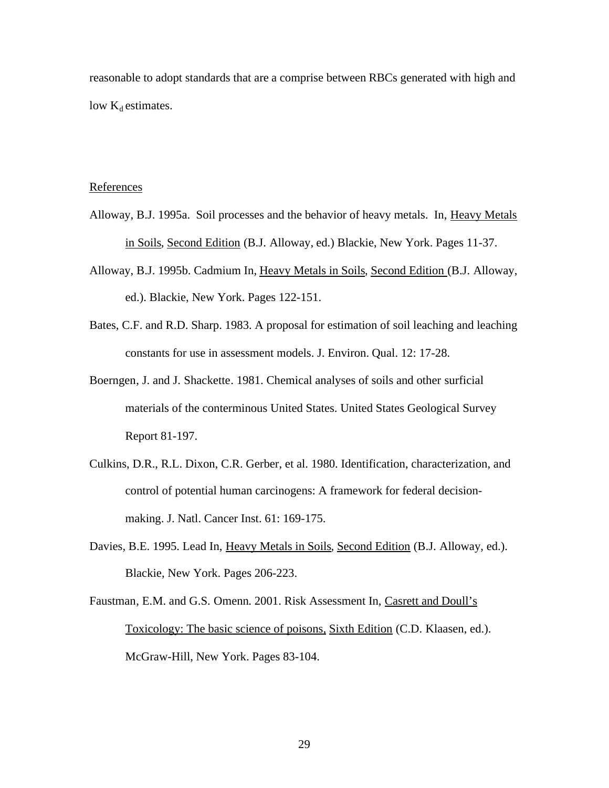reasonable to adopt standards that are a comprise between RBCs generated with high and low  $K_d$  estimates.

### References

- Alloway, B.J. 1995a. Soil processes and the behavior of heavy metals. In, Heavy Metals in Soils, Second Edition (B.J. Alloway, ed.) Blackie, New York. Pages 11-37.
- Alloway, B.J. 1995b. Cadmium In, Heavy Metals in Soils, Second Edition (B.J. Alloway, ed.). Blackie, New York. Pages 122-151.
- Bates, C.F. and R.D. Sharp. 1983. A proposal for estimation of soil leaching and leaching constants for use in assessment models. J. Environ. Qual. 12: 17-28.
- Boerngen, J. and J. Shackette. 1981. Chemical analyses of soils and other surficial materials of the conterminous United States. United States Geological Survey Report 81-197.
- Culkins, D.R., R.L. Dixon, C.R. Gerber, et al. 1980. Identification, characterization, and control of potential human carcinogens: A framework for federal decisionmaking. J. Natl. Cancer Inst. 61: 169-175.
- Davies, B.E. 1995. Lead In, Heavy Metals in Soils, Second Edition (B.J. Alloway, ed.). Blackie, New York. Pages 206-223.
- Faustman, E.M. and G.S. Omenn. 2001. Risk Assessment In, Casrett and Doull's Toxicology: The basic science of poisons, Sixth Edition (C.D. Klaasen, ed.). McGraw-Hill, New York. Pages 83-104.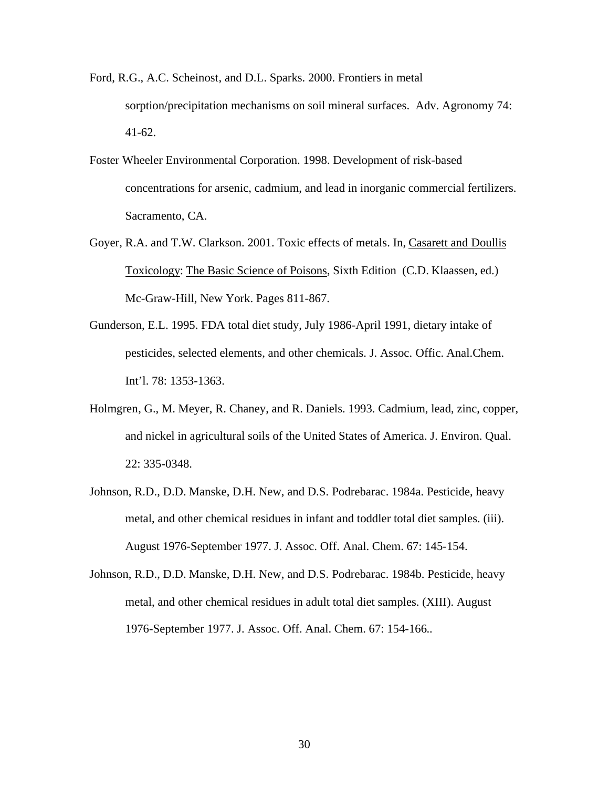- Ford, R.G., A.C. Scheinost, and D.L. Sparks. 2000. Frontiers in metal sorption/precipitation mechanisms on soil mineral surfaces. Adv. Agronomy 74: 41-62.
- Foster Wheeler Environmental Corporation. 1998. Development of risk-based concentrations for arsenic, cadmium, and lead in inorganic commercial fertilizers. Sacramento, CA.
- Goyer, R.A. and T.W. Clarkson. 2001. Toxic effects of metals. In, Casarett and Doullis Toxicology: The Basic Science of Poisons, Sixth Edition (C.D. Klaassen, ed.) Mc-Graw-Hill, New York. Pages 811-867.
- Gunderson, E.L. 1995. FDA total diet study, July 1986-April 1991, dietary intake of pesticides, selected elements, and other chemicals. J. Assoc. Offic. Anal.Chem. Int'l. 78: 1353-1363.
- Holmgren, G., M. Meyer, R. Chaney, and R. Daniels. 1993. Cadmium, lead, zinc, copper, and nickel in agricultural soils of the United States of America. J. Environ. Qual. 22: 335-0348.
- Johnson, R.D., D.D. Manske, D.H. New, and D.S. Podrebarac. 1984a. Pesticide, heavy metal, and other chemical residues in infant and toddler total diet samples. (iii). August 1976-September 1977. J. Assoc. Off. Anal. Chem. 67: 145-154.
- Johnson, R.D., D.D. Manske, D.H. New, and D.S. Podrebarac. 1984b. Pesticide, heavy metal, and other chemical residues in adult total diet samples. (XIII). August 1976-September 1977. J. Assoc. Off. Anal. Chem. 67: 154-166..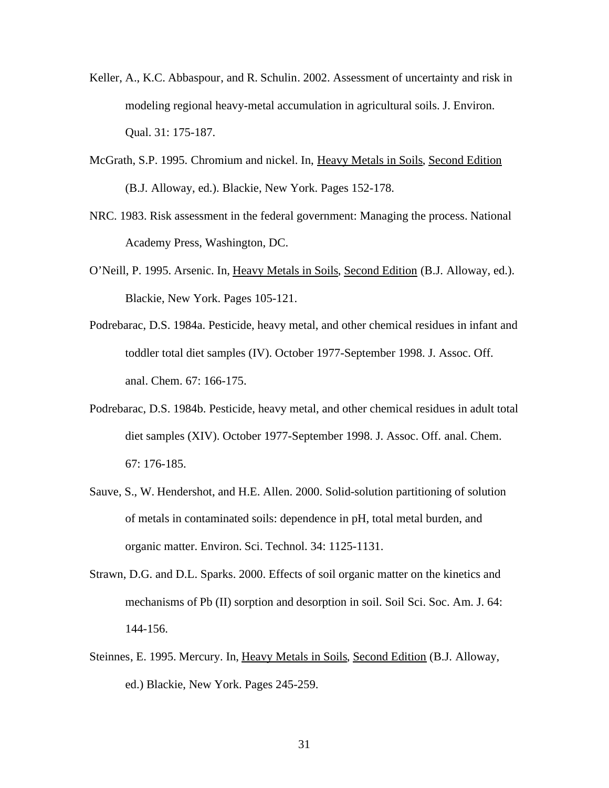- Keller, A., K.C. Abbaspour, and R. Schulin. 2002. Assessment of uncertainty and risk in modeling regional heavy-metal accumulation in agricultural soils. J. Environ. Qual. 31: 175-187.
- McGrath, S.P. 1995. Chromium and nickel. In, Heavy Metals in Soils, Second Edition (B.J. Alloway, ed.). Blackie, New York. Pages 152-178.
- NRC. 1983. Risk assessment in the federal government: Managing the process. National Academy Press, Washington, DC.
- O'Neill, P. 1995. Arsenic. In, Heavy Metals in Soils, Second Edition (B.J. Alloway, ed.). Blackie, New York. Pages 105-121.
- Podrebarac, D.S. 1984a. Pesticide, heavy metal, and other chemical residues in infant and toddler total diet samples (IV). October 1977-September 1998. J. Assoc. Off. anal. Chem. 67: 166-175.
- Podrebarac, D.S. 1984b. Pesticide, heavy metal, and other chemical residues in adult total diet samples (XIV). October 1977-September 1998. J. Assoc. Off. anal. Chem. 67: 176-185.
- Sauve, S., W. Hendershot, and H.E. Allen. 2000. Solid-solution partitioning of solution of metals in contaminated soils: dependence in pH, total metal burden, and organic matter. Environ. Sci. Technol. 34: 1125-1131.
- Strawn, D.G. and D.L. Sparks. 2000. Effects of soil organic matter on the kinetics and mechanisms of Pb (II) sorption and desorption in soil. Soil Sci. Soc. Am. J. 64: 144-156.
- Steinnes, E. 1995. Mercury. In, Heavy Metals in Soils, Second Edition (B.J. Alloway, ed.) Blackie, New York. Pages 245-259.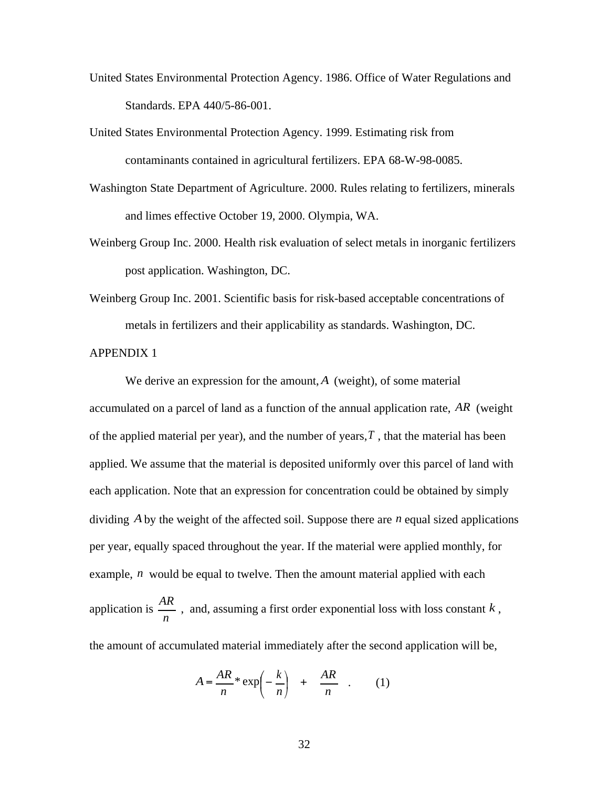- United States Environmental Protection Agency. 1986. Office of Water Regulations and Standards. EPA 440/5-86-001.
- United States Environmental Protection Agency. 1999. Estimating risk from contaminants contained in agricultural fertilizers. EPA 68-W-98-0085.
- Washington State Department of Agriculture. 2000. Rules relating to fertilizers, minerals and limes effective October 19, 2000. Olympia, WA.
- Weinberg Group Inc. 2000. Health risk evaluation of select metals in inorganic fertilizers post application. Washington, DC.
- Weinberg Group Inc. 2001. Scientific basis for risk-based acceptable concentrations of metals in fertilizers and their applicability as standards. Washington, DC.

APPENDIX 1

We derive an expression for the amount, *A* (weight), of some material accumulated on a parcel of land as a function of the annual application rate, *AR* (weight of the applied material per year), and the number of years,  $T$ , that the material has been applied. We assume that the material is deposited uniformly over this parcel of land with each application. Note that an expression for concentration could be obtained by simply dividing *A*by the weight of the affected soil. Suppose there are *n* equal sized applications per year, equally spaced throughout the year. If the material were applied monthly, for example, *n* would be equal to twelve. Then the amount material applied with each application is *n AR* , and, assuming a first order exponential loss with loss constant *<sup>k</sup>* , the amount of accumulated material immediately after the second application will be,

$$
A = \frac{AR}{n} * \exp\left(-\frac{k}{n}\right) + \frac{AR}{n} \quad . \tag{1}
$$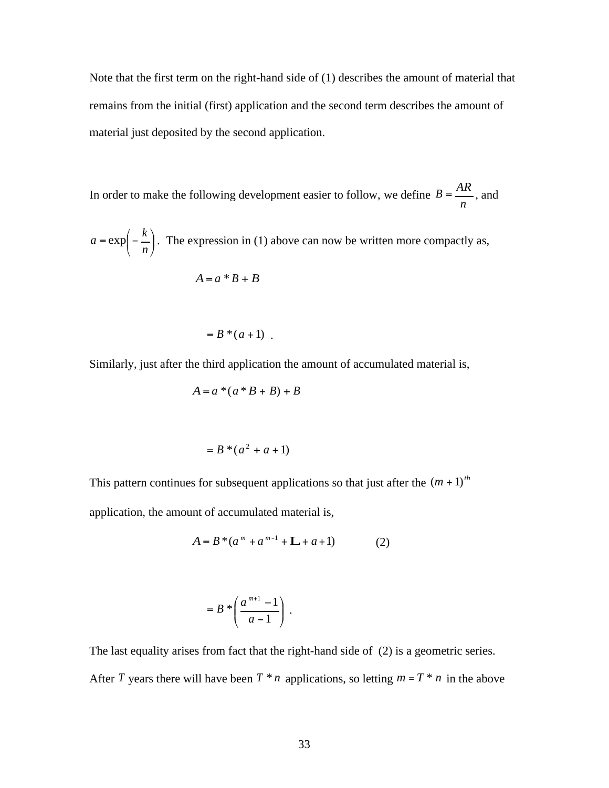Note that the first term on the right-hand side of (1) describes the amount of material that remains from the initial (first) application and the second term describes the amount of material just deposited by the second application.

In order to make the following development easier to follow, we define *n*  $B = \frac{AR}{A}$ , and

 $\cdot$ Į  $\left(-\frac{k}{k}\right)$  $a = \exp\left(-\frac{k}{n}\right)$ . The expression in (1) above can now be written more compactly as,

$$
A = a * B + B
$$

$$
= B^*(a+1) .
$$

Similarly, just after the third application the amount of accumulated material is,

$$
A = a * (a * B + B) + B
$$

$$
= B * (a2 + a + 1)
$$

This pattern continues for subsequent applications so that just after the  $(m + 1)^{th}$ 

application, the amount of accumulated material is,

$$
A = B * (am + am-1 + L + a + 1)
$$
 (2)

$$
= B * \left( \frac{a^{m+1} - 1}{a - 1} \right) .
$$

The last equality arises from fact that the right-hand side of (2) is a geometric series. After *T* years there will have been  $T * n$  applications, so letting  $m = T * n$  in the above